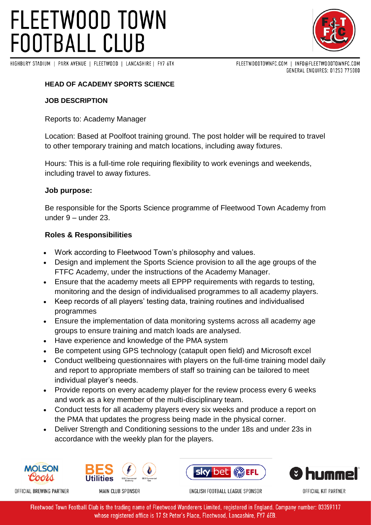# **FLEETWOOD TOWN FOOTBALL CLUB**





FLEETWOODTOWNFC.COM | INFO@FLEETWOODTOWNFC.COM GENERAL ENQUIRES: 01253 775080

### **HEAD OF ACADEMY SPORTS SCIENCE**

#### **JOB DESCRIPTION**

Reports to: Academy Manager

Location: Based at Poolfoot training ground. The post holder will be required to travel to other temporary training and match locations, including away fixtures.

Hours: This is a full-time role requiring flexibility to work evenings and weekends, including travel to away fixtures.

#### **Job purpose:**

Be responsible for the Sports Science programme of Fleetwood Town Academy from under 9 – under 23.

#### **Roles & Responsibilities**

- Work according to Fleetwood Town's philosophy and values.
- Design and implement the Sports Science provision to all the age groups of the FTFC Academy, under the instructions of the Academy Manager.
- Ensure that the academy meets all EPPP requirements with regards to testing, monitoring and the design of individualised programmes to all academy players.
- Keep records of all players' testing data, training routines and individualised programmes
- Ensure the implementation of data monitoring systems across all academy age groups to ensure training and match loads are analysed.
- Have experience and knowledge of the PMA system
- Be competent using GPS technology (catapult open field) and Microsoft excel
- Conduct wellbeing questionnaires with players on the full-time training model daily and report to appropriate members of staff so training can be tailored to meet individual player's needs.
- Provide reports on every academy player for the review process every 6 weeks and work as a key member of the multi-disciplinary team.
- Conduct tests for all academy players every six weeks and produce a report on the PMA that updates the progress being made in the physical corner.
- Deliver Strength and Conditioning sessions to the under 18s and under 23s in accordance with the weekly plan for the players.





MAIN CLUB SPONSOR





OFFICIAL KIT PARTNER

ENGLISH FOOTBALL LEAGUE SPONSOR

Fleetwood Town Football Club is the trading name of Fleetwood Wanderers Limited, registered in England. Company number: 03359117 whose registered office is 17 St Peter's Place, Fleetwood, Lancashire, FY7 6EB.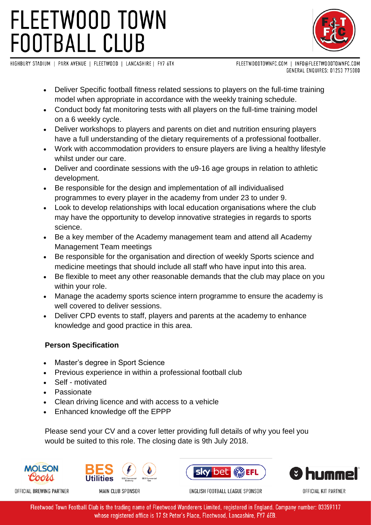# **FLEETWOOD TOWN FOOTBALL CLUB**



HIGHBURY STADIUM | PARK AVENUE | FLEETWOOD | LANCASHIRE | FY7 6TX

FLEETWOODTOWNFC.COM | INFO@FLEETWOODTOWNFC.COM GENERAL ENQUIRES: 01253 775080

- Deliver Specific football fitness related sessions to players on the full-time training model when appropriate in accordance with the weekly training schedule.
- Conduct body fat monitoring tests with all players on the full-time training model on a 6 weekly cycle.
- Deliver workshops to players and parents on diet and nutrition ensuring players have a full understanding of the dietary requirements of a professional footballer.
- Work with accommodation providers to ensure players are living a healthy lifestyle whilst under our care.
- Deliver and coordinate sessions with the u9-16 age groups in relation to athletic development.
- Be responsible for the design and implementation of all individualised programmes to every player in the academy from under 23 to under 9.
- Look to develop relationships with local education organisations where the club may have the opportunity to develop innovative strategies in regards to sports science.
- Be a key member of the Academy management team and attend all Academy Management Team meetings
- Be responsible for the organisation and direction of weekly Sports science and medicine meetings that should include all staff who have input into this area.
- Be flexible to meet any other reasonable demands that the club may place on you within your role.
- Manage the academy sports science intern programme to ensure the academy is well covered to deliver sessions.
- Deliver CPD events to staff, players and parents at the academy to enhance knowledge and good practice in this area.

### **Person Specification**

- Master's degree in Sport Science
- Previous experience in within a professional football club
- Self motivated
- Passionate
- Clean driving licence and with access to a vehicle
- Enhanced knowledge off the EPPP

Please send your CV and a cover letter providing full details of why you feel you would be suited to this role. The closing date is 9th July 2018.



OFFICIAL BREWING PARTNER



MAIN CLUB SPONSOR





OFFICIAL KIT PARTNER

ENGLISH FOOTBALL LEAGUE SPONSOR

Fleetwood Town Football Club is the trading name of Fleetwood Wanderers Limited, registered in England. Company number: 03359117 whose registered office is 17 St Peter's Place, Fleetwood, Lancashire, FY7 6EB.